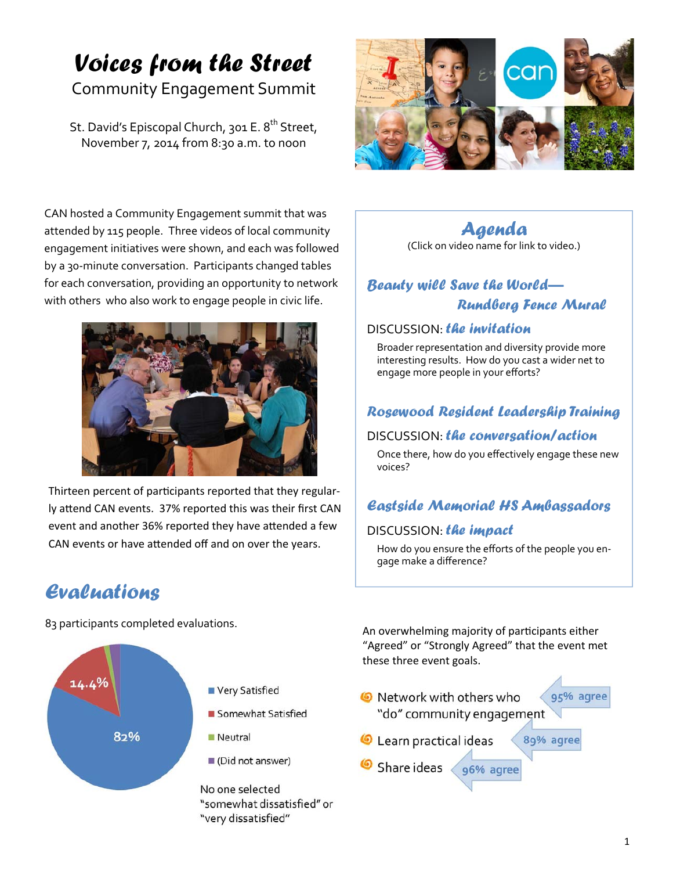# *Voices from the Street*

# Community Engagement Summit

St. David's Episcopal Church, 301 E. 8<sup>th</sup> Street, November 7, 2014 from 8:30 a.m. to noon



CAN hosted a Community Engagement summit that was attended by 115 people. Three videos of local community engagement initiatives were shown, and each was followed by a 30‐minute conversation. Participants changed tables for each conversation, providing an opportunity to network with others who also work to engage people in civic life.



Thirteen percent of participants reported that they regularly attend CAN events. 37% reported this was their first CAN event and another 36% reported they have attended a few CAN events or have attended off and on over the years.

# *Agenda*

(Click on video name for link to video.)

# *Beauty will Save the World— Rundberg Fence Mural*

### DISCUSSION: *the invitation*

Broader representation and diversity provide more interesting results. How do you cast a wider net to engage more people in your efforts?

### *Rosewood Resident Leadership Training*

### DISCUSSION: *the conversation/action*

Once there, how do you effectively engage these new voices?

### *Eastside Memorial HS Ambassadors*

### DISCUSSION: *the impact*

How do you ensure the efforts of the people you en‐ gage make a difference?

# *Evaluations*

83 participants completed evaluations.



An overwhelming majority of participants either "Agreed" or "Strongly Agreed" that the event met these three event goals.

**O** Network with others who 95% agree "do" community engagement 89% agree Learn practical ideas Share ideas 96% agree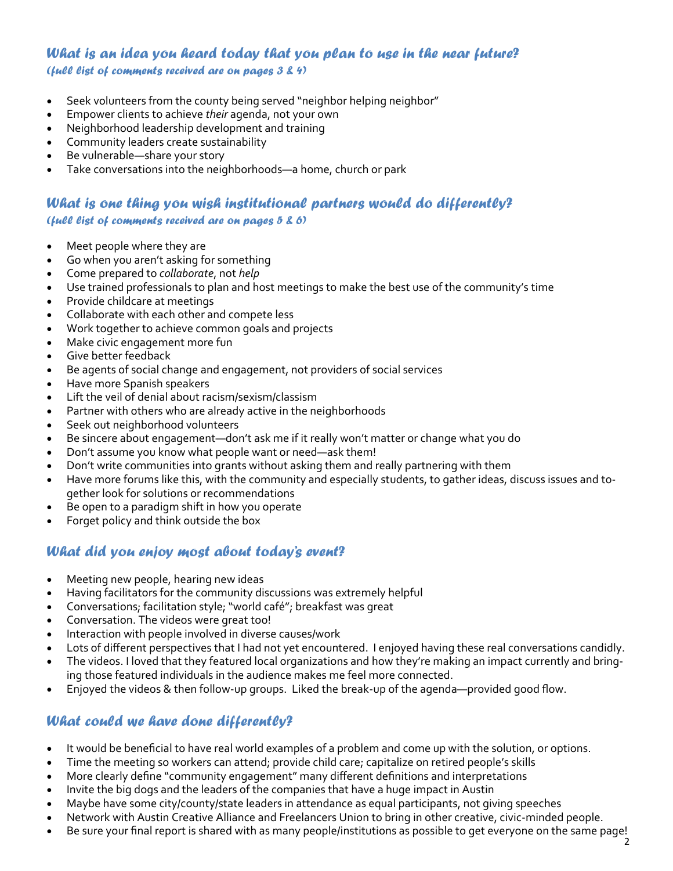#### *What is an idea you heard today that you plan to use in the near future? (full list of comments received are on pages 3 & 4)*

- Seek volunteers from the county being served "neighbor helping neighbor"
- Empower clients to achieve *their* agenda, not your own
- Neighborhood leadership development and training
- Community leaders create sustainability
- Be vulnerable—share your story
- Take conversations into the neighborhoods—a home, church or park

#### *What is one thing you wish institutional partners would do differently? (full list of comments received are on pages 5 & 6)*

- Meet people where they are
- Go when you aren't asking for something
- Come prepared to *collaborate*, not *help*
- Use trained professionals to plan and host meetings to make the best use of the community's time
- Provide childcare at meetings
- Collaborate with each other and compete less
- Work together to achieve common goals and projects
- Make civic engagement more fun
- Give better feedback
- Be agents of social change and engagement, not providers of social services
- Have more Spanish speakers
- Lift the veil of denial about racism/sexism/classism
- Partner with others who are already active in the neighborhoods
- Seek out neighborhood volunteers
- Be sincere about engagement—don't ask me if it really won't matter or change what you do
- Don't assume you know what people want or need—ask them!
- Don't write communities into grants without asking them and really partnering with them
- Have more forums like this, with the community and especially students, to gather ideas, discuss issues and to‐ gether look for solutions or recommendations
- Be open to a paradigm shift in how you operate
- Forget policy and think outside the box

### *What did you enjoy most about today's event?*

- Meeting new people, hearing new ideas
- Having facilitators for the community discussions was extremely helpful
- Conversations; facilitation style; "world café"; breakfast was great
- Conversation. The videos were great too!
- Interaction with people involved in diverse causes/work
- Lots of different perspectives that I had not yet encountered. I enjoyed having these real conversations candidly.
- The videos. I loved that they featured local organizations and how they're making an impact currently and bring‐ ing those featured individuals in the audience makes me feel more connected.
- Enjoyed the videos & then follow‐up groups. Liked the break‐up of the agenda—provided good flow.

### *What could we have done differently?*

- It would be beneficial to have real world examples of a problem and come up with the solution, or options.
- Time the meeting so workers can attend; provide child care; capitalize on retired people's skills
- More clearly define "community engagement" many different definitions and interpretations
- Invite the big dogs and the leaders of the companies that have a huge impact in Austin
- Maybe have some city/county/state leaders in attendance as equal participants, not giving speeches
- Network with Austin Creative Alliance and Freelancers Union to bring in other creative, civic-minded people.
- Be sure your final report is shared with as many people/institutions as possible to get everyone on the same page!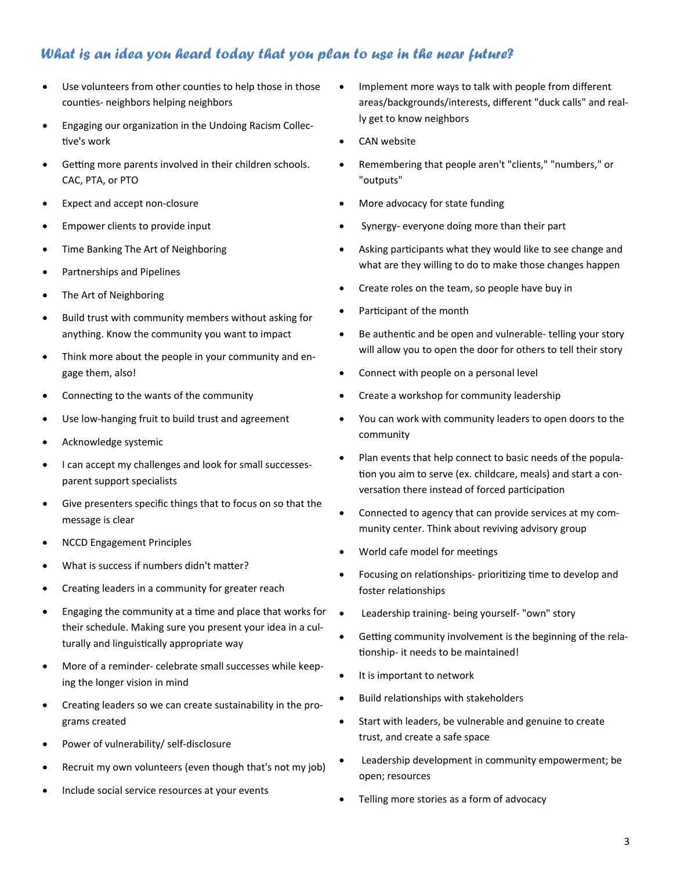### *What is an idea you heard today that you plan to use in the near future?*

- Use volunteers from other counties to help those in those counties- neighbors helping neighbors
- **Engaging our organization in the Undoing Racism Collec-**Ɵve's work
- Getting more parents involved in their children schools. CAC, PTA, or PTO
- Expect and accept non-closure
- Empower clients to provide input
- Time Banking The Art of Neighboring
- Partnerships and Pipelines
- The Art of Neighboring
- Build trust with community members without asking for anything. Know the community you want to impact
- Think more about the people in your community and engage them, also!
- Connecting to the wants of the community
- Use low-hanging fruit to build trust and agreement
- Acknowledge systemic
- I can accept my challenges and look for small successesparent support specialists
- Give presenters specific things that to focus on so that the message is clear
- NCCD Engagement Principles
- What is success if numbers didn't matter?
- Creating leaders in a community for greater reach
- Engaging the community at a time and place that works for their schedule. Making sure you present your idea in a culturally and linguistically appropriate way
- More of a reminder- celebrate small successes while keeping the longer vision in mind
- Creating leaders so we can create sustainability in the programs created
- Power of vulnerability/ self-disclosure
- Recruit my own volunteers (even though that's not my job)
- Include social service resources at your events
- Implement more ways to talk with people from different areas/backgrounds/interests, different "duck calls" and really get to know neighbors
- CAN website
- Remembering that people aren't "clients," "numbers," or "outputs"
- More advocacy for state funding
- Synergy- everyone doing more than their part
- Asking participants what they would like to see change and what are they willing to do to make those changes happen
- Create roles on the team, so people have buy in
- Participant of the month
- Be authentic and be open and vulnerable- telling your story will allow you to open the door for others to tell their story
- Connect with people on a personal level
- Create a workshop for community leadership
- You can work with community leaders to open doors to the community
- Plan events that help connect to basic needs of the population you aim to serve (ex. childcare, meals) and start a conversation there instead of forced participation
- Connected to agency that can provide services at my community center. Think about reviving advisory group
- World cafe model for meetings
- Focusing on relationships- prioritizing time to develop and foster relationships
- Leadership training- being yourself- "own" story
- Getting community involvement is the beginning of the relationship- it needs to be maintained!
- It is important to network
- Build relationships with stakeholders
- Start with leaders, be vulnerable and genuine to create trust, and create a safe space
- Leadership development in community empowerment; be open; resources
- Telling more stories as a form of advocacy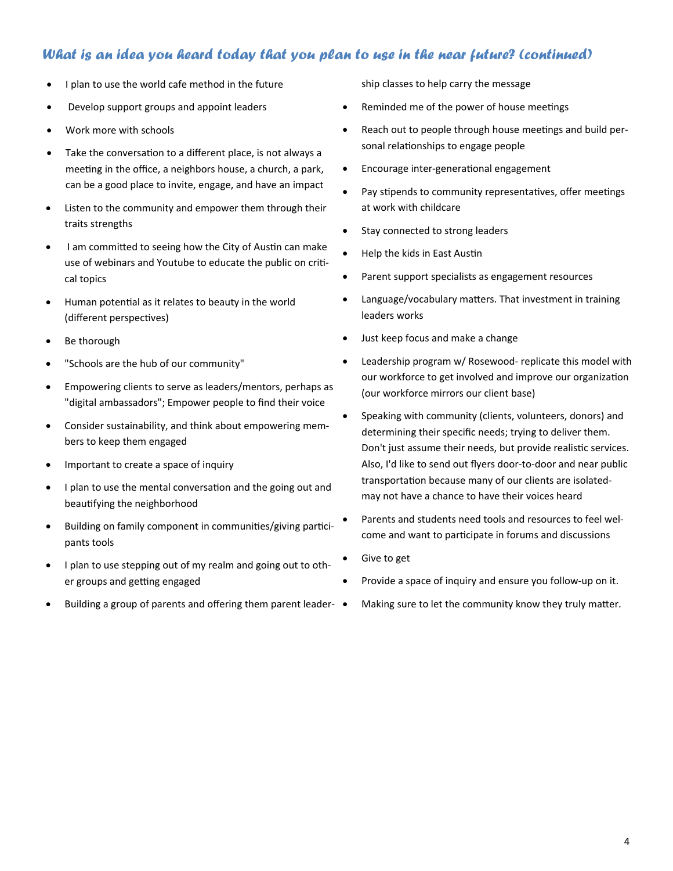### *What is an idea you heard today that you plan to use in the near future? (continued)*

- I plan to use the world cafe method in the future
- Develop support groups and appoint leaders
- Work more with schools
- Take the conversation to a different place, is not always a meeting in the office, a neighbors house, a church, a park, can be a good place to invite, engage, and have an impact
- Listen to the community and empower them through their traits strengths
- I am committed to seeing how the City of Austin can make use of webinars and Youtube to educate the public on critical topics
- Human potential as it relates to beauty in the world (different perspectives)
- Be thorough
- "Schools are the hub of our community"
- Empowering clients to serve as leaders/mentors, perhaps as "digital ambassadors"; Empower people to find their voice
- Consider sustainability, and think about empowering members to keep them engaged
- Important to create a space of inquiry
- I plan to use the mental conversation and the going out and beautifying the neighborhood
- Building on family component in communities/giving participants tools
- I plan to use stepping out of my realm and going out to other groups and getting engaged
- Building a group of parents and offering them parent leader-  $\bullet$

ship classes to help carry the message

- Reminded me of the power of house meetings
- Reach out to people through house meetings and build personal relationships to engage people
- Encourage inter-generational engagement
- Pay stipends to community representatives, offer meetings at work with childcare
- Stay connected to strong leaders
- Help the kids in East Austin
- Parent support specialists as engagement resources
- Language/vocabulary matters. That investment in training leaders works
- Just keep focus and make a change
- Leadership program w/ Rosewood- replicate this model with our workforce to get involved and improve our organization (our workforce mirrors our client base)
- Speaking with community (clients, volunteers, donors) and determining their specific needs; trying to deliver them. Don't just assume their needs, but provide realistic services. Also, I'd like to send out flyers door-to-door and near public transportation because many of our clients are isolatedmay not have a chance to have their voices heard
- Parents and students need tools and resources to feel welcome and want to participate in forums and discussions
- Give to get
- Provide a space of inquiry and ensure you follow-up on it.
- Making sure to let the community know they truly matter.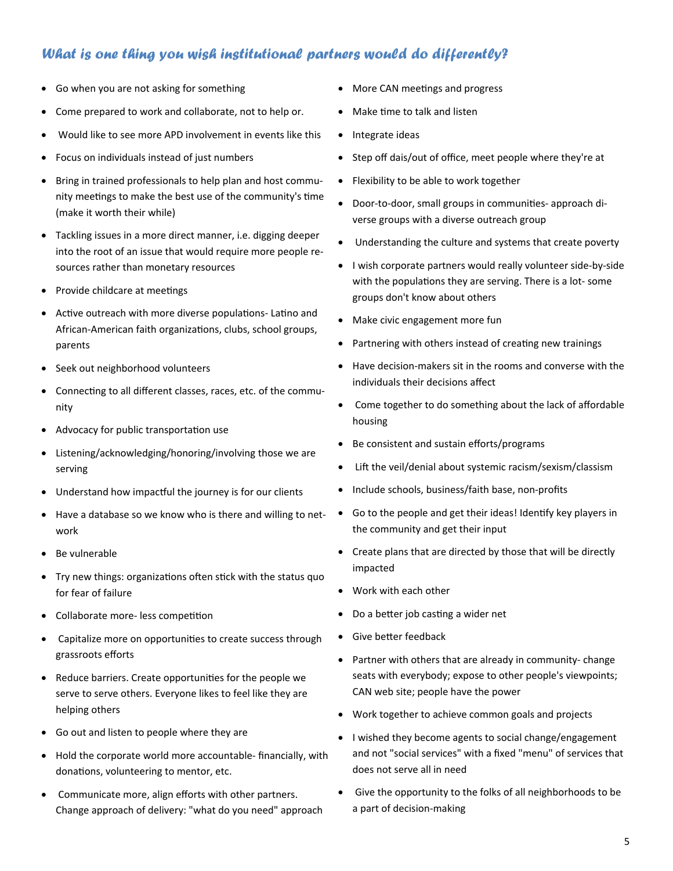### *What is one thing you wish institutional partners would do differently?*

- Go when you are not asking for something
- Come prepared to work and collaborate, not to help or.
- Would like to see more APD involvement in events like this
- Focus on individuals instead of just numbers
- Bring in trained professionals to help plan and host community meetings to make the best use of the community's time (make it worth their while)
- Tackling issues in a more direct manner, i.e. digging deeper into the root of an issue that would require more people resources rather than monetary resources
- Provide childcare at meetings
- Active outreach with more diverse populations- Latino and African-American faith organizations, clubs, school groups, parents
- Seek out neighborhood volunteers
- Connecting to all different classes, races, etc. of the community
- Advocacy for public transportation use
- Listening/acknowledging/honoring/involving those we are serving
- Understand how impactful the journey is for our clients
- Have a database so we know who is there and willing to network
- Be vulnerable
- Try new things: organizations often stick with the status quo for fear of failure
- Collaborate more- less competition
- Capitalize more on opportunities to create success through grassroots efforts
- Reduce barriers. Create opportunities for the people we serve to serve others. Everyone likes to feel like they are helping others
- Go out and listen to people where they are
- Hold the corporate world more accountable- financially, with donations, volunteering to mentor, etc.
- Communicate more, align efforts with other partners. Change approach of delivery: "what do you need" approach
- More CAN meetings and progress
- Make time to talk and listen
- Integrate ideas
- Step off dais/out of office, meet people where they're at
- Flexibility to be able to work together
- Door-to-door, small groups in communities- approach diverse groups with a diverse outreach group
- Understanding the culture and systems that create poverty
- I wish corporate partners would really volunteer side-by-side with the populations they are serving. There is a lot-some groups don't know about others
- Make civic engagement more fun
- Partnering with others instead of creating new trainings
- Have decision-makers sit in the rooms and converse with the individuals their decisions affect
- Come together to do something about the lack of affordable housing
- Be consistent and sustain efforts/programs
- Lift the veil/denial about systemic racism/sexism/classism
- Include schools, business/faith base, non-profits
- Go to the people and get their ideas! Identify key players in the community and get their input
- Create plans that are directed by those that will be directly impacted
- Work with each other
- Do a better job casting a wider net
- Give better feedback
- Partner with others that are already in community- change seats with everybody; expose to other people's viewpoints; CAN web site; people have the power
- Work together to achieve common goals and projects
- I wished they become agents to social change/engagement and not "social services" with a fixed "menu" of services that does not serve all in need
- Give the opportunity to the folks of all neighborhoods to be a part of decision-making